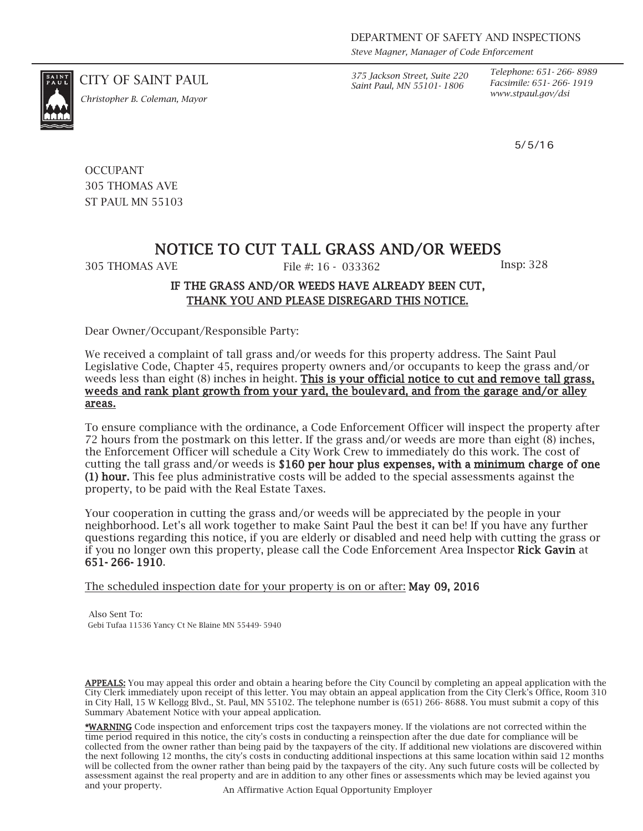*Steve Magner, Manager of Code Enforcement*

*Saint Paul, MN 55101- 1806*

*Telephone: 651- 266- 8989 Facsimile: 651- 266- 1919*

5/5/16

CITY OF SAINT PAUL *375 Jackson Street, Suite 220*

*www.stpaul.gov/dsi Christopher B. Coleman, Mayor*

**OCCUPANT** 305 THOMAS AVE ST PAUL MN 55103

## NOTICE TO CUT TALL GRASS AND/OR WEEDS

305 THOMAS AVE File #: 16 - 033362 Insp: 328

## IF THE GRASS AND/OR WEEDS HAVE ALREADY BEEN CUT, THANK YOU AND PLEASE DISREGARD THIS NOTICE.

Dear Owner/Occupant/Responsible Party:

We received a complaint of tall grass and/or weeds for this property address. The Saint Paul Legislative Code, Chapter 45, requires property owners and/or occupants to keep the grass and/or weeds less than eight (8) inches in height. This is your official notice to cut and remove tall grass, weeds and rank plant growth from your yard, the boulevard, and from the garage and/or alley areas.

To ensure compliance with the ordinance, a Code Enforcement Officer will inspect the property after 72 hours from the postmark on this letter. If the grass and/or weeds are more than eight (8) inches, the Enforcement Officer will schedule a City Work Crew to immediately do this work. The cost of cutting the tall grass and/or weeds is \$160 per hour plus expenses, with a minimum charge of one (1) hour. This fee plus administrative costs will be added to the special assessments against the property, to be paid with the Real Estate Taxes.

Your cooperation in cutting the grass and/or weeds will be appreciated by the people in your neighborhood. Let's all work together to make Saint Paul the best it can be! If you have any further questions regarding this notice, if you are elderly or disabled and need help with cutting the grass or if you no longer own this property, please call the Code Enforcement Area Inspector Rick Gavin at 651- 266- 1910.

The scheduled inspection date for your property is on or after: May 09, 2016

Also Sent To: Gebi Tufaa 11536 Yancy Ct Ne Blaine MN 55449- 5940

APPEALS: You may appeal this order and obtain a hearing before the City Council by completing an appeal application with the City Clerk immediately upon receipt of this letter. You may obtain an appeal application from the City Clerk's Office, Room 310 in City Hall, 15 W Kellogg Blvd., St. Paul, MN 55102. The telephone number is (651) 266- 8688. You must submit a copy of this Summary Abatement Notice with your appeal application.

\*WARNING Code inspection and enforcement trips cost the taxpayers money. If the violations are not corrected within the time period required in this notice, the city's costs in conducting a reinspection after the due date for compliance will be collected from the owner rather than being paid by the taxpayers of the city. If additional new violations are discovered within the next following 12 months, the city's costs in conducting additional inspections at this same location within said 12 months will be collected from the owner rather than being paid by the taxpayers of the city. Any such future costs will be collected by assessment against the real property and are in addition to any other fines or assessments which may be levied against you and your property. An Affirmative Action Equal Opportunity Employer